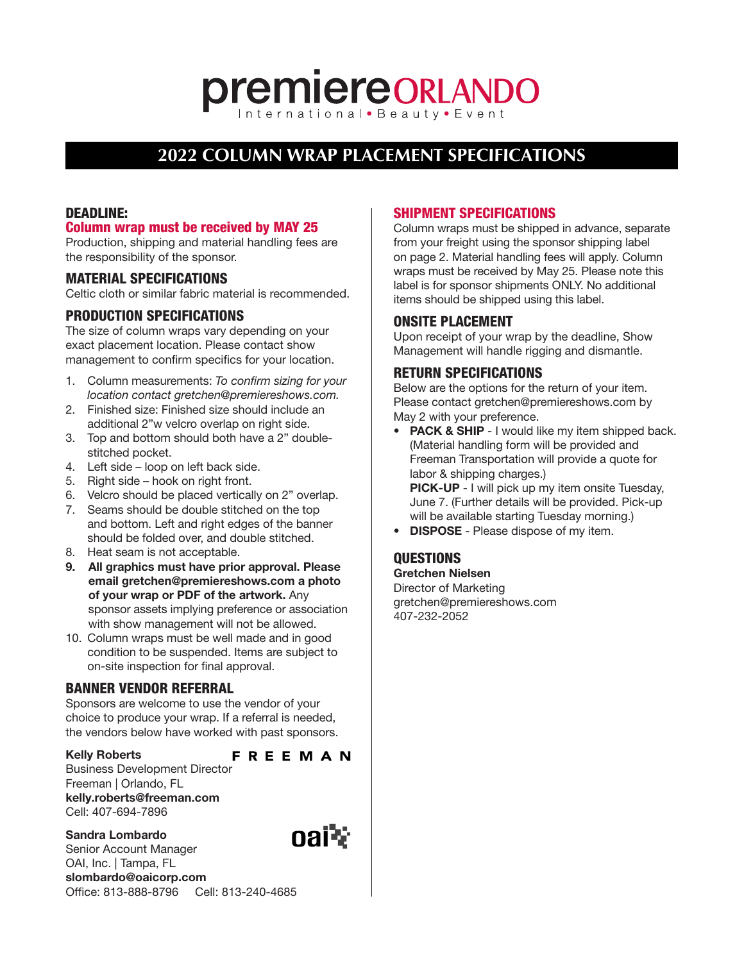# **premiereORLANDO**

## **2022 COLUMN WRAP PLACEMENT SPECIFICATIONS**

## DEADLINE:

## Column wrap must be received by MAY 25

Production, shipping and material handling fees are the responsibility of the sponsor.

#### MATERIAL SPECIFICATIONS

Celtic cloth or similar fabric material is recommended.

## PRODUCTION SPECIFICATIONS

The size of column wraps vary depending on your exact placement location. Please contact show management to confirm specifics for your location.

- 1. Column measurements: To confirm sizing for your location contact gretchen@premiereshows.com.
- 2. Finished size: Finished size should include an additional 2"w velcro overlap on right side.
- 3. Top and bottom should both have a 2" doublestitched pocket.
- 4. Left side loop on left back side.
- 5. Right side hook on right front.
- 6. Velcro should be placed vertically on 2" overlap.
- 7. Seams should be double stitched on the top and bottom. Left and right edges of the banner should be folded over, and double stitched.
- 8. Heat seam is not acceptable.
- 9. All graphics must have prior approval. Please email gretchen@premiereshows.com a photo of your wrap or PDF of the artwork. Any sponsor assets implying preference or association with show management will not be allowed.
- 10. Column wraps must be well made and in good condition to be suspended. Items are subject to on-site inspection for final approval.

## BANNER VENDOR REFERRAL

Sponsors are welcome to use the vendor of your choice to produce your wrap. If a referral is needed, the vendors below have worked with past sponsors.

#### Kelly Roberts

## **FREEMAN**

Business Development Director Freeman | Orlando, FL kelly.roberts@freeman.com Cell: 407-694-7896

Sandra Lombardo Senior Account Manager OAI, Inc. | Tampa, FL



## SHIPMENT SPECIFICATIONS

Column wraps must be shipped in advance, separate from your freight using the sponsor shipping label on page 2. Material handling fees will apply. Column wraps must be received by May 25. Please note this label is for sponsor shipments ONLY. No additional items should be shipped using this label.

#### ONSITE PLACEMENT

Upon receipt of your wrap by the deadline, Show Management will handle rigging and dismantle.

## RETURN SPECIFICATIONS

Below are the options for the return of your item. Please contact gretchen@premiereshows.com by May 2 with your preference.

• PACK & SHIP - I would like my item shipped back. (Material handling form will be provided and Freeman Transportation will provide a quote for labor & shipping charges.) PICK-UP - I will pick up my item onsite Tuesday,

June 7. (Further details will be provided. Pick-up will be available starting Tuesday morning.)

• **DISPOSE** - Please dispose of my item.

## QUESTIONS

Gretchen Nielsen Director of Marketing gretchen@premiereshows.com 407-232-2052